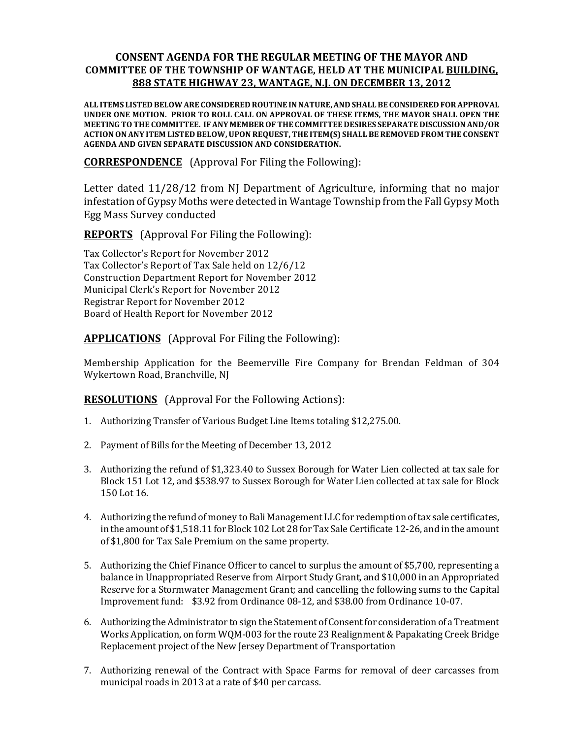## **CONSENT'AGENDA'FOR'THE REGULAR MEETING'OF'THE'MAYOR'AND' COMMITTEE'OF'THE'TOWNSHIP'OF'WANTAGE,'HELD'AT'THE'MUNICIPAL'BUILDING,'** 888 STATE HIGHWAY 23, WANTAGE, N.J. ON DECEMBER 13, 2012

**ALL'ITEMS'LISTED'BELOW'ARE'CONSIDERED'ROUTINE'IN'NATURE,'AND'SHALL'BE'CONSIDERED'FOR'APPROVAL'** UNDER ONE MOTION. PRIOR TO ROLL CALL ON APPROVAL OF THESE ITEMS, THE MAYOR SHALL OPEN THE MEETING TO THE COMMITTEE. IF ANY MEMBER OF THE COMMITTEE DESIRES SEPARATE DISCUSSION AND/OR **ACTION'ON'ANY'ITEM'LISTED'BELOW,'UPON'REQUEST,'THE ITEM(S)'SHALL'BE'REMOVED'FROM'THE'CONSENT' AGENDA'AND'GIVEN'SEPARATE'DISCUSSION'AND'CONSIDERATION.**

**CORRESPONDENCE** (Approval For Filing the Following):

Letter dated  $11/28/12$  from NJ Department of Agriculture, informing that no major infestation of Gypsy Moths were detected in Wantage Township from the Fall Gypsy Moth Egg Mass Survey conducted

**REPORTS** (Approval For Filing the Following):

Tax Collector's Report for November 2012 Tax Collector's Report of Tax Sale held on 12/6/12 Construction Department Report for November 2012 Municipal Clerk's Report for November 2012 Registrar Report for November 2012 Board of Health Report for November 2012

**APPLICATIONS** (Approval For Filing the Following):

Membership Application for the Beemerville Fire Company for Brendan Feldman of 304 Wykertown Road, Branchville, NJ

**RESOLUTIONS** (Approval For the Following Actions):

- 1. Authorizing Transfer of Various Budget Line Items totaling \$12,275.00.
- 2. Payment of Bills for the Meeting of December 13, 2012
- 3. Authorizing the refund of  $$1,323.40$  to Sussex Borough for Water Lien collected at tax sale for Block 151 Lot 12, and \$538.97 to Sussex Borough for Water Lien collected at tax sale for Block 150 Lot 16.
- 4. Authorizing the refund of money to Bali Management LLC for redemption of tax sale certificates, in the amount of \$1,518.11 for Block 102 Lot 28 for Tax Sale Certificate 12-26, and in the amount of \$1,800 for Tax Sale Premium on the same property.
- 5. Authorizing the Chief Finance Officer to cancel to surplus the amount of \$5,700, representing a balance in Unappropriated Reserve from Airport Study Grant, and \$10,000 in an Appropriated Reserve for a Stormwater Management Grant; and cancelling the following sums to the Capital Improvement fund: \$3.92 from Ordinance 08-12, and \$38.00 from Ordinance 10-07.
- 6. Authorizing the Administrator to sign the Statement of Consent for consideration of a Treatment Works Application, on form WQM-003 for the route 23 Realignment & Papakating Creek Bridge Replacement project of the New Jersey Department of Transportation
- 7. Authorizing renewal of the Contract with Space Farms for removal of deer carcasses from municipal roads in 2013 at a rate of \$40 per carcass.